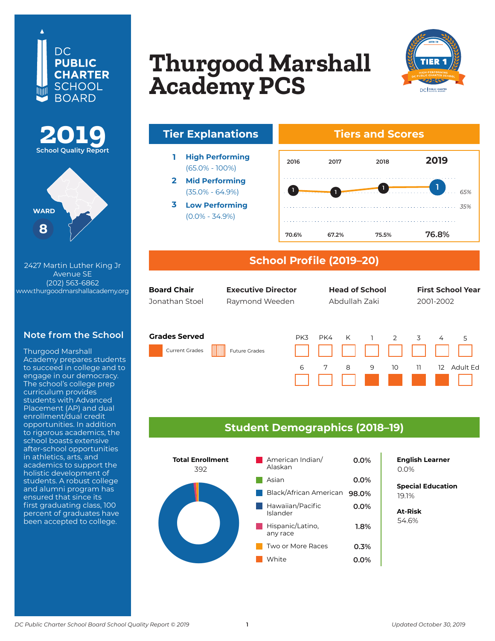## DC. **PUBLIC CHARTER SCHOOL BOARD**





**410 8th Street NW** 2427 Martin Luther King Jr **Washington, DC 20004** (202) 563-6862 **202-393-5437** www.thurgoodmarshallacademy.org Avenue SE

#### **Note from the School**

Thurgood Marshall Academy prepares students to succeed in college and to engage in our democracy. The school's college prep curriculum provides students with Advanced<br>Ri Placement (AP) and dual enfoliment/qual credit<br>opportunities. In addition opportunnes: in addition<br>to rigorous academics, the to rigorous asaucrines, tr en commodo consequentes in athletics, arts, and  $\overline{\phantom{a}}$ academics to support the holistic development of students. A robust college and alumni program has ensured that since its first graduating class, 100 percent of graduates have<br>' been accepted to college. enrollment/dual credit

# **BASIS DC PCS (High School) Thurgood Marshall Academy PCS**





### **School Profile (2019–20)**

| <b>Board Chair</b> |  |
|--------------------|--|
| Jonathan Stoe      |  |

**Board Chair Head of School Executive Director First School Year Executive Director Head of School First School Year**Jonathan Stoel Raymond Weeden Abdullah Zaki 2001-2002

Abdullah Zaki

#### **Grades Served**

Current Grades Future Grades

(65.0% - 100%)

(35.0% - 64.9%)

(0.0% - 34.9%)



### **Student Demographics (2018–19)**



**8.4% English Learner** 0.0%

**Special Education** 5.0% 19.1%

**At-Risk** 8.5% 54.6%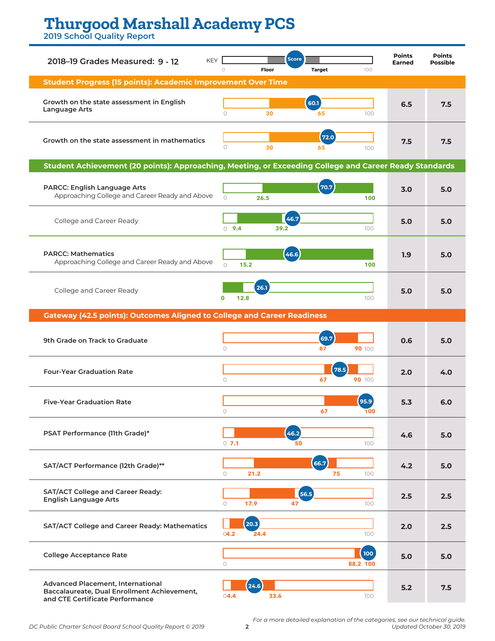# **Thurgood Marshall Academy PCS**

**2019 School Quality Report**

| <b>KEY</b><br>2018-19 Grades Measured: 9 - 12                                                                              | <b>Score</b><br>Floor<br>$\bigcirc$<br><b>Target</b><br>100 | <b>Points</b><br><b>Earned</b> | <b>Points</b><br><b>Possible</b> |
|----------------------------------------------------------------------------------------------------------------------------|-------------------------------------------------------------|--------------------------------|----------------------------------|
| <b>Student Progress (15 points): Academic Improvement Over Time</b>                                                        |                                                             |                                |                                  |
| Growth on the state assessment in English<br>Language Arts                                                                 | 60.1<br>$\bigcap$<br>30<br>100<br>65                        | 6.5                            | 7.5                              |
| Growth on the state assessment in mathematics                                                                              | 72.0<br>$\circ$<br>30<br>65<br>100                          | 7.5                            | 7.5                              |
| Student Achievement (20 points): Approaching, Meeting, or Exceeding College and Career Ready Standards                     |                                                             |                                |                                  |
| PARCC: English Language Arts<br>Approaching College and Career Ready and Above                                             | 70.7<br>$\bigcap$<br>26.5<br>100                            | 3.0                            | 5.0                              |
| College and Career Ready                                                                                                   | 46.7<br>$0$ 9.4<br>39.2<br>100                              | 5.0                            | 5.0                              |
| <b>PARCC: Mathematics</b><br>Approaching College and Career Ready and Above                                                | (46.6)<br>$\bigcap$<br>100<br>15.2                          | 1.9                            | 5.0                              |
| College and Career Ready                                                                                                   | 26.1<br>12.8<br>$\mathbf 0$<br>100                          | 5.0                            | 5.0                              |
| <b>Gateway (42.5 points): Outcomes Aligned to College and Career Readiness</b>                                             |                                                             |                                |                                  |
| 9th Grade on Track to Graduate                                                                                             | 69.7<br>$\circ$<br>67<br>90 100                             | 0.6                            | 5.0                              |
| <b>Four-Year Graduation Rate</b>                                                                                           | 78.5<br>$\circ$<br>67<br>90 100                             | 2.0                            | 4.0                              |
| <b>Five-Year Graduation Rate</b>                                                                                           | 95.9<br>67<br>0<br>1 V V                                    | 5.3                            | 6.0                              |
| PSAT Performance (11th Grade)*                                                                                             | (46.2)<br>100<br>$0$ 7.1<br>50                              | 4.6                            | 5.0                              |
| SAT/ACT Performance (12th Grade)**                                                                                         | 66.7<br>21.2<br>75<br>$\circ$<br>100                        | 4.2                            | 5.0                              |
| SAT/ACT College and Career Ready:<br><b>English Language Arts</b>                                                          | 56.5<br>$\circ$<br>17.9<br>47<br>100                        | 2.5                            | 2.5                              |
| SAT/ACT College and Career Ready: Mathematics                                                                              | (20.3)<br>04.2<br>24.4<br>100                               | 2.0                            | 2.5                              |
| <b>College Acceptance Rate</b>                                                                                             | 100<br>88.2 100<br>$\circ$                                  | 5.0                            | 5.0                              |
| <b>Advanced Placement, International</b><br>Baccalaureate, Dual Enrollment Achievement,<br>and CTE Certificate Performance | (24.6)<br>04.4<br>33.6<br>100                               | 5.2                            | 7.5                              |